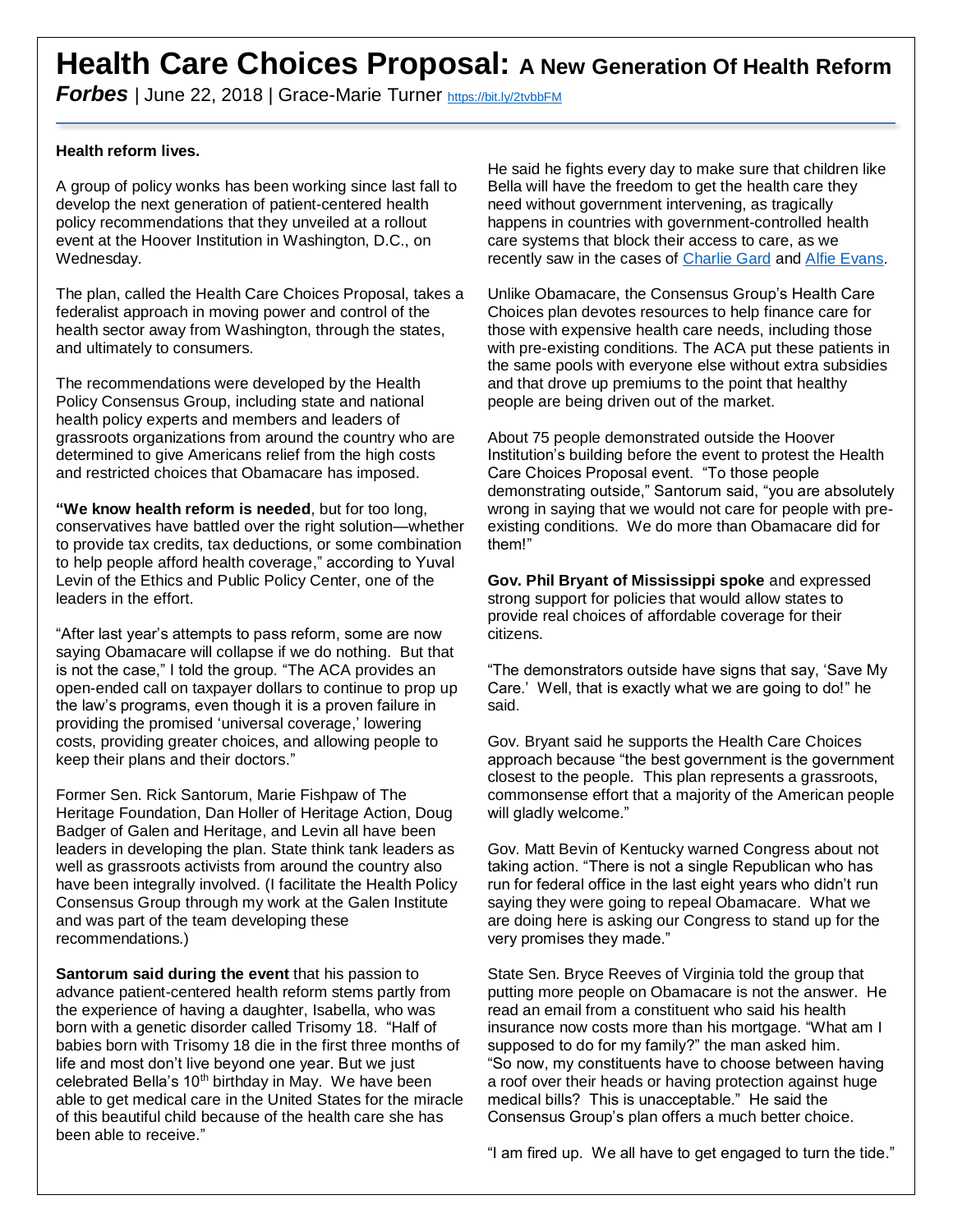## **Health Care Choices Proposal: A New Generation Of Health Reform**

*Forbes* | June 22, 2018 | Grace-Marie Turner <https://bit.ly/2tvbbFM>

## **Health reform lives.**

A group of policy wonks has been working since last fall to develop the next generation of patient-centered health policy recommendations that they unveiled at a rollout event at the Hoover Institution in Washington, D.C., on Wednesday.

The plan, called the Health Care Choices Proposal, takes a federalist approach in moving power and control of the health sector away from Washington, through the states, and ultimately to consumers.

The recommendations were developed by the Health Policy Consensus Group, including state and national health policy experts and members and leaders of grassroots organizations from around the country who are determined to give Americans relief from the high costs and restricted choices that Obamacare has imposed.

**"We know health reform is needed**, but for too long, conservatives have battled over the right solution—whether to provide tax credits, tax deductions, or some combination to help people afford health coverage," according to Yuval Levin of the Ethics and Public Policy Center, one of the leaders in the effort.

"After last year's attempts to pass reform, some are now saying Obamacare will collapse if we do nothing. But that is not the case," I told the group. "The ACA provides an open-ended call on taxpayer dollars to continue to prop up the law's programs, even though it is a proven failure in providing the promised 'universal coverage,' lowering costs, providing greater choices, and allowing people to keep their plans and their doctors."

Former Sen. Rick Santorum, Marie Fishpaw of The Heritage Foundation, Dan Holler of Heritage Action, Doug Badger of Galen and Heritage, and Levin all have been leaders in developing the plan. State think tank leaders as well as grassroots activists from around the country also have been integrally involved. (I facilitate the Health Policy Consensus Group through my work at the Galen Institute and was part of the team developing these recommendations.)

**Santorum said during the event** that his passion to advance patient-centered health reform stems partly from the experience of having a daughter, Isabella, who was born with a genetic disorder called Trisomy 18. "Half of babies born with Trisomy 18 die in the first three months of life and most don't live beyond one year. But we just celebrated Bella's 10<sup>th</sup> birthday in May. We have been able to get medical care in the United States for the miracle of this beautiful child because of the health care she has been able to receive."

He said he fights every day to make sure that children like Bella will have the freedom to get the health care they need without government intervening, as tragically happens in countries with government-controlled health care systems that block their access to care, as we recently saw in the cases of [Charlie Gard](https://www.telegraph.co.uk/news/2017/04/03/terminally-boy-denied-potentially-life-saving-treatment-nhs/) and [Alfie Evans.](https://www.washingtonpost.com/news/acts-of-faith/wp/2018/04/24/judge-rules-against-letting-alfie-evans-a-terminally-ill-british-child-go-to-the-popes-hospital/?utm_term=.5f284047564b)

Unlike Obamacare, the Consensus Group's Health Care Choices plan devotes resources to help finance care for those with expensive health care needs, including those with pre-existing conditions. The ACA put these patients in the same pools with everyone else without extra subsidies and that drove up premiums to the point that healthy people are being driven out of the market.

About 75 people demonstrated outside the Hoover Institution's building before the event to protest the Health Care Choices Proposal event. "To those people demonstrating outside," Santorum said, "you are absolutely wrong in saying that we would not care for people with preexisting conditions. We do more than Obamacare did for them!"

**Gov. Phil Bryant of Mississippi spoke** and expressed strong support for policies that would allow states to provide real choices of affordable coverage for their citizens.

"The demonstrators outside have signs that say, 'Save My Care.' Well, that is exactly what we are going to do!" he said.

Gov. Bryant said he supports the Health Care Choices approach because "the best government is the government closest to the people. This plan represents a grassroots, commonsense effort that a majority of the American people will gladly welcome."

Gov. Matt Bevin of Kentucky warned Congress about not taking action. "There is not a single Republican who has run for federal office in the last eight years who didn't run saying they were going to repeal Obamacare. What we are doing here is asking our Congress to stand up for the very promises they made."

State Sen. Bryce Reeves of Virginia told the group that putting more people on Obamacare is not the answer. He read an email from a constituent who said his health insurance now costs more than his mortgage. "What am I supposed to do for my family?" the man asked him. "So now, my constituents have to choose between having a roof over their heads or having protection against huge medical bills? This is unacceptable." He said the Consensus Group's plan offers a much better choice.

"I am fired up. We all have to get engaged to turn the tide."